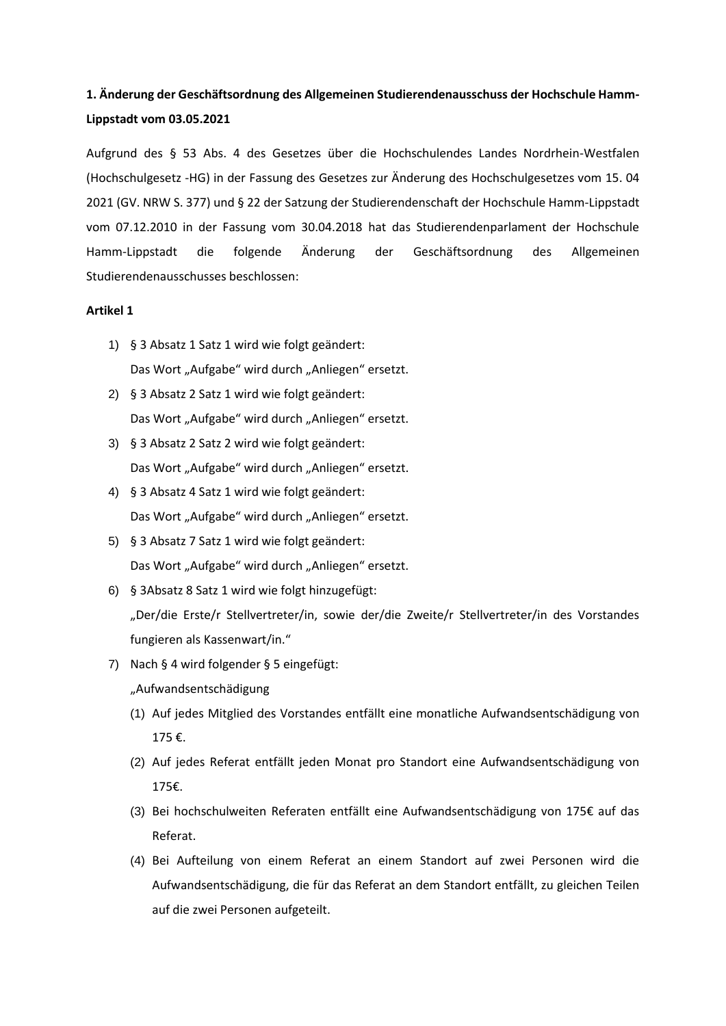# **1. Änderung der Geschäftsordnung des Allgemeinen Studierendenausschuss der Hochschule Hamm-Lippstadt vom 03.05.2021**

Aufgrund des § 53 Abs. 4 des Gesetzes über die Hochschulendes Landes Nordrhein-Westfalen (Hochschulgesetz -HG) in der Fassung des Gesetzes zur Änderung des Hochschulgesetzes vom 15. 04 2021 (GV. NRW S. 377) und § 22 der Satzung der Studierendenschaft der Hochschule Hamm-Lippstadt vom 07.12.2010 in der Fassung vom 30.04.2018 hat das Studierendenparlament der Hochschule Hamm-Lippstadt die folgende Änderung der Geschäftsordnung des Allgemeinen Studierendenausschusses beschlossen:

#### **Artikel 1**

- 1) § 3 Absatz 1 Satz 1 wird wie folgt geändert: Das Wort "Aufgabe" wird durch "Anliegen" ersetzt.
- 2) § 3 Absatz 2 Satz 1 wird wie folgt geändert: Das Wort "Aufgabe" wird durch "Anliegen" ersetzt.
- 3) § 3 Absatz 2 Satz 2 wird wie folgt geändert: Das Wort "Aufgabe" wird durch "Anliegen" ersetzt.
- 4) § 3 Absatz 4 Satz 1 wird wie folgt geändert: Das Wort "Aufgabe" wird durch "Anliegen" ersetzt.
- 5) § 3 Absatz 7 Satz 1 wird wie folgt geändert: Das Wort "Aufgabe" wird durch "Anliegen" ersetzt.
- 6) § 3Absatz 8 Satz 1 wird wie folgt hinzugefügt: "Der/die Erste/r Stellvertreter/in, sowie der/die Zweite/r Stellvertreter/in des Vorstandes fungieren als Kassenwart/in."
- 7) Nach § 4 wird folgender § 5 eingefügt: "Aufwandsentschädigung
	- (1) Auf jedes Mitglied des Vorstandes entfällt eine monatliche Aufwandsentschädigung von 175 €.
	- (2) Auf jedes Referat entfällt jeden Monat pro Standort eine Aufwandsentschädigung von 175€.
	- (3) Bei hochschulweiten Referaten entfällt eine Aufwandsentschädigung von 175€ auf das Referat.
	- (4) Bei Aufteilung von einem Referat an einem Standort auf zwei Personen wird die Aufwandsentschädigung, die für das Referat an dem Standort entfällt, zu gleichen Teilen auf die zwei Personen aufgeteilt.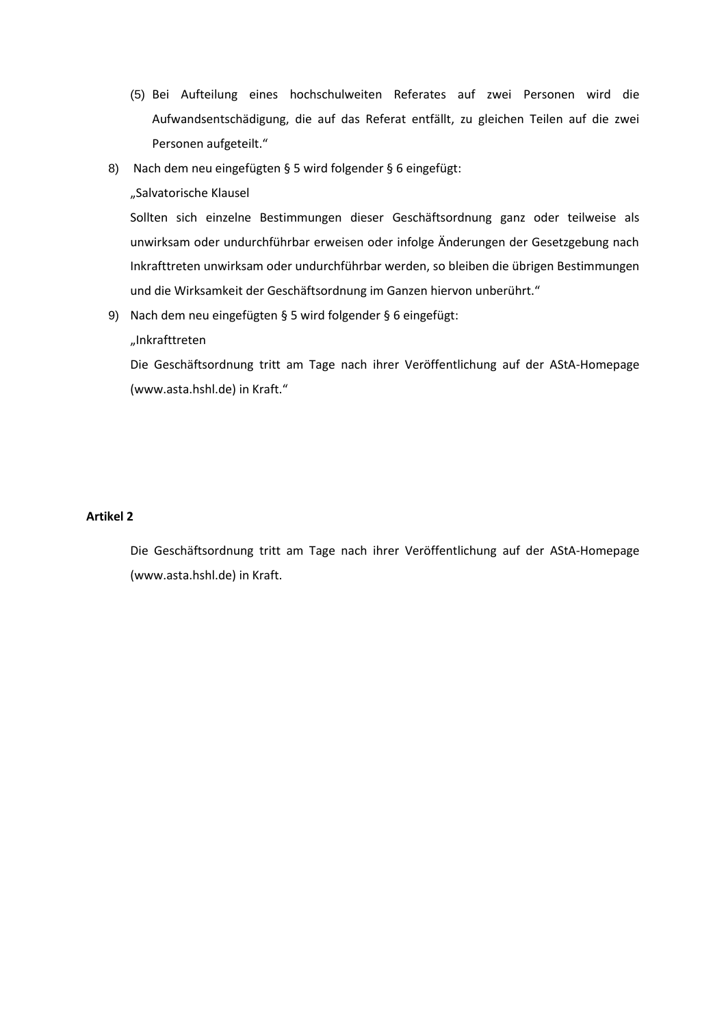- (5) Bei Aufteilung eines hochschulweiten Referates auf zwei Personen wird die Aufwandsentschädigung, die auf das Referat entfällt, zu gleichen Teilen auf die zwei Personen aufgeteilt."
- 8) Nach dem neu eingefügten § 5 wird folgender § 6 eingefügt:

# "Salvatorische Klausel

Sollten sich einzelne Bestimmungen dieser Geschäftsordnung ganz oder teilweise als unwirksam oder undurchführbar erweisen oder infolge Änderungen der Gesetzgebung nach Inkrafttreten unwirksam oder undurchführbar werden, so bleiben die übrigen Bestimmungen und die Wirksamkeit der Geschäftsordnung im Ganzen hiervon unberührt."

9) Nach dem neu eingefügten § 5 wird folgender § 6 eingefügt:

## "Inkrafttreten

Die Geschäftsordnung tritt am Tage nach ihrer Veröffentlichung auf der AStA-Homepage (www.asta.hshl.de) in Kraft."

### **Artikel 2**

Die Geschäftsordnung tritt am Tage nach ihrer Veröffentlichung auf der AStA-Homepage (www.asta.hshl.de) in Kraft.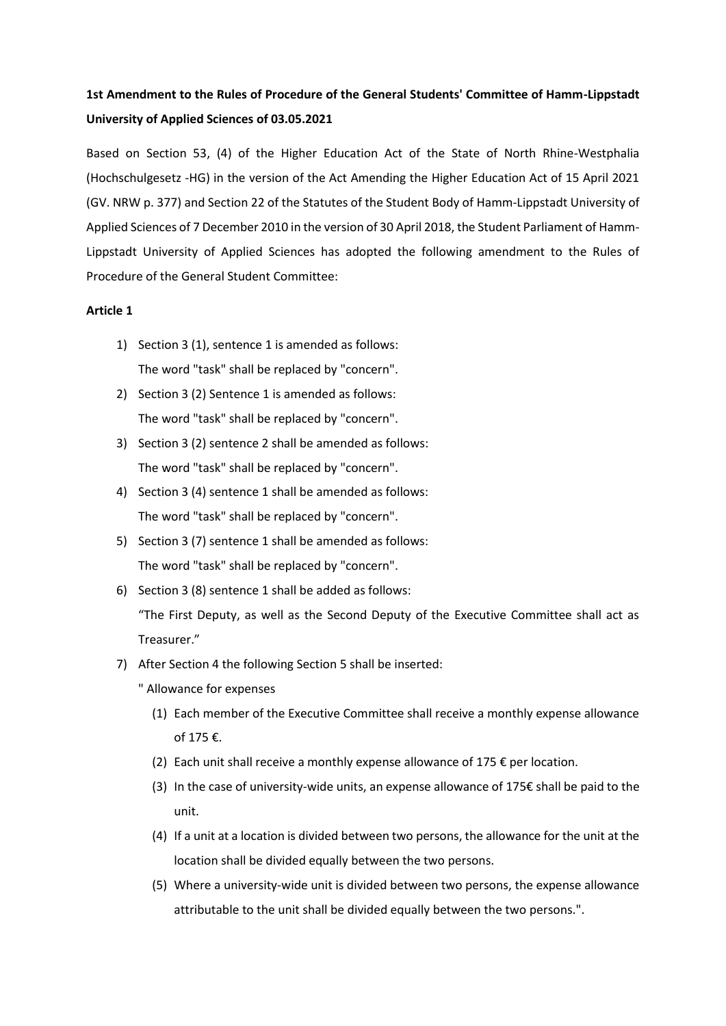# **1st Amendment to the Rules of Procedure of the General Students' Committee of Hamm-Lippstadt University of Applied Sciences of 03.05.2021**

Based on Section 53, (4) of the Higher Education Act of the State of North Rhine-Westphalia (Hochschulgesetz -HG) in the version of the Act Amending the Higher Education Act of 15 April 2021 (GV. NRW p. 377) and Section 22 of the Statutes of the Student Body of Hamm-Lippstadt University of Applied Sciences of 7 December 2010 in the version of 30 April 2018, the Student Parliament of Hamm-Lippstadt University of Applied Sciences has adopted the following amendment to the Rules of Procedure of the General Student Committee:

### **Article 1**

- 1) Section 3 (1), sentence 1 is amended as follows: The word "task" shall be replaced by "concern".
- 2) Section 3 (2) Sentence 1 is amended as follows: The word "task" shall be replaced by "concern".
- 3) Section 3 (2) sentence 2 shall be amended as follows: The word "task" shall be replaced by "concern".
- 4) Section 3 (4) sentence 1 shall be amended as follows: The word "task" shall be replaced by "concern".
- 5) Section 3 (7) sentence 1 shall be amended as follows: The word "task" shall be replaced by "concern".
- 6) Section 3 (8) sentence 1 shall be added as follows: "The First Deputy, as well as the Second Deputy of the Executive Committee shall act as Treasurer."
- 7) After Section 4 the following Section 5 shall be inserted:
	- " Allowance for expenses
		- (1) Each member of the Executive Committee shall receive a monthly expense allowance of 175 €.
		- (2) Each unit shall receive a monthly expense allowance of 175  $\epsilon$  per location.
		- (3) In the case of university-wide units, an expense allowance of 175€ shall be paid to the unit.
		- (4) If a unit at a location is divided between two persons, the allowance for the unit at the location shall be divided equally between the two persons.
		- (5) Where a university-wide unit is divided between two persons, the expense allowance attributable to the unit shall be divided equally between the two persons.".